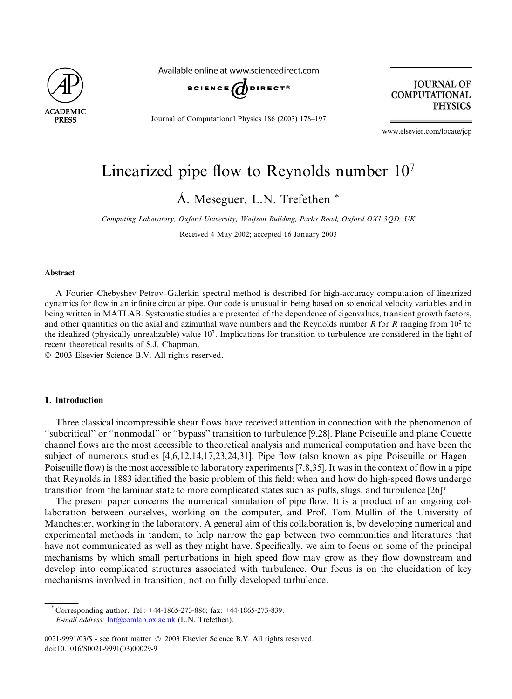

Available online at www.sciencedirect.com



Journal of Computational Physics 186 (2003) 178–197

**JOURNAL OF COMPUTATIONAL PHYSICS** 

www.elsevier.com/locate/jcp

# Linearized pipe flow to Reynolds number  $10<sup>7</sup>$

A. Meseguer, L.N. Trefethen \*

Computing Laboratory, Oxford University, Wolfson Building, Parks Road, Oxford OX1 3QD, UK

Received 4 May 2002; accepted 16 January 2003

#### Abstract

A Fourier–Chebyshev Petrov–Galerkin spectral method is described for high-accuracy computation of linearized dynamics for flow in an infinite circular pipe. Our code is unusual in being based on solenoidal velocity variables and in being written in MATLAB. Systematic studies are presented of the dependence of eigenvalues, transient growth factors, and other quantities on the axial and azimuthal wave numbers and the Reynolds number R for R ranging from  $10<sup>2</sup>$  to the idealized (physically unrealizable) value  $10<sup>7</sup>$ . Implications for transition to turbulence are considered in the light of recent theoretical results of S.J. Chapman.

2003 Elsevier Science B.V. All rights reserved.

# 1. Introduction

Three classical incompressible shear flows have received attention in connection with the phenomenon of "subcritical" or "nonmodal" or "bypass" transition to turbulence [9,28]. Plane Poiseuille and plane Couette channel flows are the most accessible to theoretical analysis and numerical computation and have been the subject of numerous studies [4,6,12,14,17,23,24,31]. Pipe flow (also known as pipe Poiseuille or Hagen– Poiseuille flow) is the most accessible to laboratory experiments [7,8,35]. It was in the context of flow in a pipe that Reynolds in 1883 identified the basic problem of this field: when and how do high-speed flows undergo transition from the laminar state to more complicated states such as puffs, slugs, and turbulence [26]?

The present paper concerns the numerical simulation of pipe flow. It is a product of an ongoing collaboration between ourselves, working on the computer, and Prof. Tom Mullin of the University of Manchester, working in the laboratory. A general aim of this collaboration is, by developing numerical and experimental methods in tandem, to help narrow the gap between two communities and literatures that have not communicated as well as they might have. Specifically, we aim to focus on some of the principal mechanisms by which small perturbations in high speed flow may grow as they flow downstream and develop into complicated structures associated with turbulence. Our focus is on the elucidation of key mechanisms involved in transition, not on fully developed turbulence.

<sup>\*</sup> Corresponding author. Tel.: +44-1865-273-886; fax: +44-1865-273-839. E-mail address: [lnt@comlab.ox.ac.uk](mail to: lnt@comlab.ox.ac.uk) (L.N. Trefethen).

<sup>0021-9991/03/\$ -</sup> see front matter  $\degree$  2003 Elsevier Science B.V. All rights reserved. doi:10.1016/S0021-9991(03)00029-9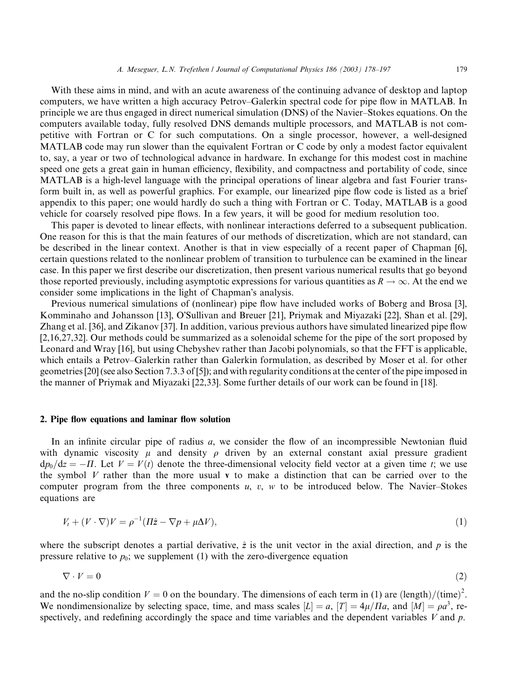With these aims in mind, and with an acute awareness of the continuing advance of desktop and laptop computers, we have written a high accuracy Petrov–Galerkin spectral code for pipe flow in MATLAB. In principle we are thus engaged in direct numerical simulation (DNS) of the Navier–Stokes equations. On the computers available today, fully resolved DNS demands multiple processors, and MATLAB is not competitive with Fortran or C for such computations. On a single processor, however, a well-designed MATLAB code may run slower than the equivalent Fortran or C code by only a modest factor equivalent to, say, a year or two of technological advance in hardware. In exchange for this modest cost in machine speed one gets a great gain in human efficiency, flexibility, and compactness and portability of code, since MATLAB is a high-level language with the principal operations of linear algebra and fast Fourier transform built in, as well as powerful graphics. For example, our linearized pipe flow code is listed as a brief appendix to this paper; one would hardly do such a thing with Fortran or C. Today, MATLAB is a good vehicle for coarsely resolved pipe flows. In a few years, it will be good for medium resolution too.

This paper is devoted to linear effects, with nonlinear interactions deferred to a subsequent publication. One reason for this is that the main features of our methods of discretization, which are not standard, can be described in the linear context. Another is that in view especially of a recent paper of Chapman [6], certain questions related to the nonlinear problem of transition to turbulence can be examined in the linear case. In this paper we first describe our discretization, then present various numerical results that go beyond those reported previously, including asymptotic expressions for various quantities as  $R \to \infty$ . At the end we consider some implications in the light of Chapman's analysis.

Previous numerical simulations of (nonlinear) pipe flow have included works of Boberg and Brosa [3], Komminaho and Johansson [13], OSullivan and Breuer [21], Priymak and Miyazaki [22], Shan et al. [29], Zhang et al. [36], and Zikanov [37]. In addition, various previous authors have simulated linearized pipe flow [2,16,27,32]. Our methods could be summarized as a solenoidal scheme for the pipe of the sort proposed by Leonard and Wray [16], but using Chebyshev rather than Jacobi polynomials, so that the FFT is applicable, which entails a Petrov–Galerkin rather than Galerkin formulation, as described by Moser et al. for other geometries [20] (see also Section 7.3.3 of [5]); and with regularity conditions at the center of the pipe imposed in the manner of Priymak and Miyazaki [22,33]. Some further details of our work can be found in [18].

## 2. Pipe flow equations and laminar flow solution

In an infinite circular pipe of radius a, we consider the flow of an incompressible Newtonian fluid with dynamic viscosity  $\mu$  and density  $\rho$  driven by an external constant axial pressure gradient  $d p_0/dz = -H$ . Let  $V = V(t)$  denote the three-dimensional velocity field vector at a given time t; we use the symbol  $V$  rather than the more usual  $v$  to make a distinction that can be carried over to the computer program from the three components  $u$ ,  $v$ ,  $w$  to be introduced below. The Navier–Stokes equations are

$$
V_t + (V \cdot \nabla)V = \rho^{-1}(\Pi \hat{z} - \nabla p + \mu \Delta V),\tag{1}
$$

where the subscript denotes a partial derivative,  $\hat{z}$  is the unit vector in the axial direction, and p is the pressure relative to  $p_0$ ; we supplement (1) with the zero-divergence equation

$$
\nabla \cdot V = 0 \tag{2}
$$

and the no-slip condition  $V = 0$  on the boundary. The dimensions of each term in (1) are  $(\text{length})/(\text{time})^2$ . We nondimensionalize by selecting space, time, and mass scales  $[L] = a$ ,  $[T] = 4\mu/Ha$ , and  $[M] = \rho a^3$ , respectively, and redefining accordingly the space and time variables and the dependent variables  $V$  and  $p$ .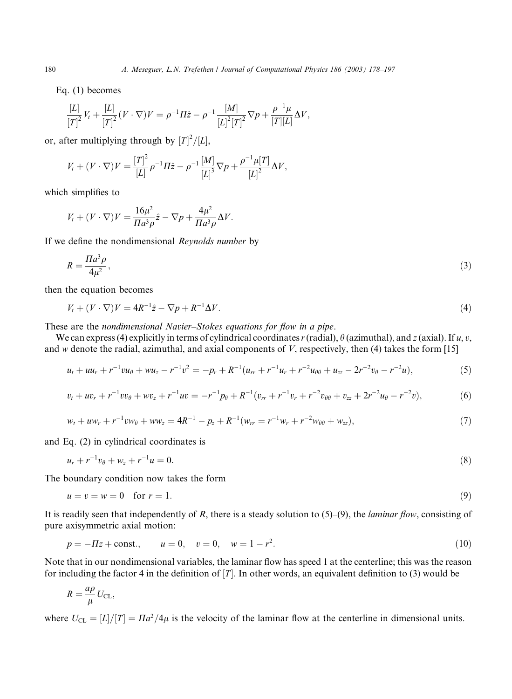Eq. (1) becomes

$$
\frac{[L]}{[T]^2}V_t + \frac{[L]}{[T]^2}(V \cdot \nabla)V = \rho^{-1} \Pi \hat{z} - \rho^{-1} \frac{[M]}{[L]^2[T]^2} \nabla p + \frac{\rho^{-1} \mu}{[T][L]} \Delta V,
$$

or, after multiplying through by  $[T]^2/[L]$ ,

$$
V_t + (V \cdot \nabla)V = \frac{[T]^2}{[L]} \rho^{-1} \Pi \hat{z} - \rho^{-1} \frac{[M]}{[L]^3} \nabla p + \frac{\rho^{-1} \mu [T]}{[L]^2} \Delta V,
$$

which simplifies to

$$
V_t + (V \cdot \nabla)V = \frac{16\mu^2}{\Pi a^3 \rho} \hat{z} - \nabla p + \frac{4\mu^2}{\Pi a^3 \rho} \Delta V.
$$

If we define the nondimensional Reynolds number by

$$
R = \frac{\Pi a^3 \rho}{4\mu^2},\tag{3}
$$

then the equation becomes

$$
V_t + (V \cdot \nabla)V = 4R^{-1}\hat{z} - \nabla p + R^{-1}\Delta V.
$$
\n<sup>(4)</sup>

These are the nondimensional Navier–Stokes equations for flow in a pipe.

We can express (4) explicitly in terms of cylindrical coordinates r (radial),  $\theta$  (azimuthal), and z (axial). If u, v, and w denote the radial, azimuthal, and axial components of  $V$ , respectively, then (4) takes the form [15]

$$
u_t + uu_r + r^{-1}vu_\theta + w u_z - r^{-1}v^2 = -p_r + R^{-1}(u_{rr} + r^{-1}u_r + r^{-2}u_{\theta\theta} + u_{zz} - 2r^{-2}v_\theta - r^{-2}u),
$$
\n(5)

$$
v_t + uv_r + r^{-1}vv_{\theta} + wv_z + r^{-1}uv = -r^{-1}p_{\theta} + R^{-1}(v_{rr} + r^{-1}v_r + r^{-2}v_{\theta\theta} + v_{zz} + 2r^{-2}u_{\theta} - r^{-2}v),
$$
(6)

$$
w_t + uw_r + r^{-1}vw_\theta + ww_z = 4R^{-1} - p_z + R^{-1}(w_{rr} = r^{-1}w_r + r^{-2}w_{\theta\theta} + w_{zz}),
$$
\n<sup>(7)</sup>

and Eq. (2) in cylindrical coordinates is

$$
u_r + r^{-1}v_{\theta} + w_z + r^{-1}u = 0. \tag{8}
$$

The boundary condition now takes the form

$$
u = v = w = 0 \quad \text{for } r = 1. \tag{9}
$$

It is readily seen that independently of R, there is a steady solution to  $(5)-(9)$ , the *laminar flow*, consisting of pure axisymmetric axial motion:

$$
p = -\Pi z + \text{const.}, \qquad u = 0, \quad v = 0, \quad w = 1 - r^2. \tag{10}
$$

Note that in our nondimensional variables, the laminar flow has speed 1 at the centerline; this was the reason for including the factor 4 in the definition of  $[T]$ . In other words, an equivalent definition to (3) would be

$$
R = \frac{a\rho}{\mu} U_{\text{CL}},
$$

where  $U_{CL} = [L]/[T] = \frac{I}{24\mu}$  is the velocity of the laminar flow at the centerline in dimensional units.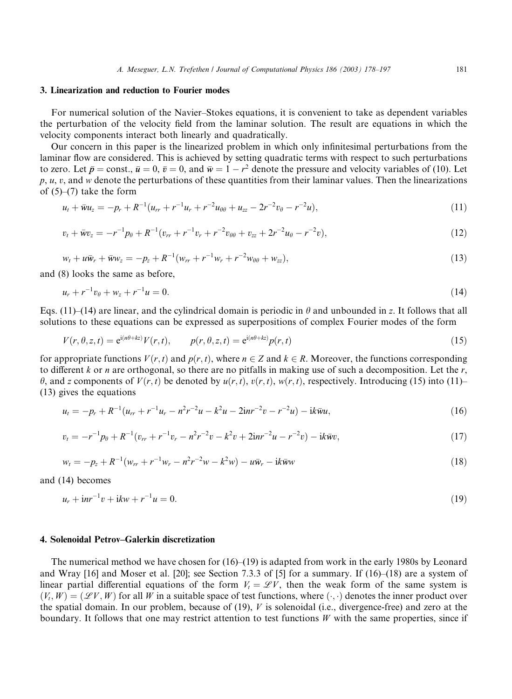# 3. Linearization and reduction to Fourier modes

For numerical solution of the Navier–Stokes equations, it is convenient to take as dependent variables the perturbation of the velocity field from the laminar solution. The result are equations in which the velocity components interact both linearly and quadratically.

Our concern in this paper is the linearized problem in which only infinitesimal perturbations from the laminar flow are considered. This is achieved by setting quadratic terms with respect to such perturbations to zero. Let  $\bar{p}$  = const.,  $\bar{u}$  = 0,  $\bar{v}$  = 0, and  $\bar{w}$  = 1 -  $r^2$  denote the pressure and velocity variables of (10). Let  $p, u, v$ , and w denote the perturbations of these quantities from their laminar values. Then the linearizations of  $(5)$ – $(7)$  take the form

$$
u_t + \bar{w}u_z = -p_r + R^{-1}(u_{rr} + r^{-1}u_r + r^{-2}u_{\theta\theta} + u_{zz} - 2r^{-2}v_{\theta} - r^{-2}u),
$$
\n(11)

$$
v_t + \bar{w}v_z = -r^{-1}p_\theta + R^{-1}(v_{rr} + r^{-1}v_r + r^{-2}v_{\theta\theta} + v_{zz} + 2r^{-2}u_\theta - r^{-2}v),
$$
\n(12)

$$
w_t + u\bar{w}_r + \bar{w}w_z = -p_z + R^{-1}(w_{rr} + r^{-1}w_r + r^{-2}w_{\theta\theta} + w_{zz}),
$$
\n(13)

and (8) looks the same as before,

$$
u_r + r^{-1}v_\theta + w_z + r^{-1}u = 0. \tag{14}
$$

Eqs. (11)–(14) are linear, and the cylindrical domain is periodic in  $\theta$  and unbounded in z. It follows that all solutions to these equations can be expressed as superpositions of complex Fourier modes of the form

$$
V(r, \theta, z, t) = e^{i(n\theta + kz)} V(r, t), \qquad p(r, \theta, z, t) = e^{i(n\theta + kz)} p(r, t)
$$
\n(15)

for appropriate functions  $V(r, t)$  and  $p(r, t)$ , where  $n \in \mathbb{Z}$  and  $k \in \mathbb{R}$ . Moreover, the functions corresponding to different k or n are orthogonal, so there are no pitfalls in making use of such a decomposition. Let the  $r$ ,  $\theta$ , and z components of  $V(r,t)$  be denoted by  $u(r,t)$ ,  $v(r,t)$ ,  $w(r,t)$ , respectively. Introducing (15) into (11)– (13) gives the equations

$$
u_t = -p_r + R^{-1}(u_{rr} + r^{-1}u_r - n^2r^{-2}u - k^2u - 2\mathrm{inr}^{-2}v - r^{-2}u) - ik\bar{w}u,
$$
\n(16)

$$
v_t = -r^{-1}p_\theta + R^{-1}(v_{rr} + r^{-1}v_r - n^2r^{-2}v - k^2v + 2inr^{-2}u - r^{-2}v) - ik\bar{w}v, \qquad (17)
$$

$$
w_t = -p_z + R^{-1}(w_{rr} + r^{-1}w_r - n^2r^{-2}w - k^2w) - u\bar{w}_r - ik\bar{w}w
$$
\n(18)

and (14) becomes

$$
u_r + \mathrm{i}nr^{-1}v + \mathrm{i}kw + r^{-1}u = 0. \tag{19}
$$

# 4. Solenoidal Petrov–Galerkin discretization

The numerical method we have chosen for (16)–(19) is adapted from work in the early 1980s by Leonard and Wray [16] and Moser et al. [20]; see Section 7.3.3 of [5] for a summary. If (16)–(18) are a system of linear partial differential equations of the form  $V_t = \mathscr{L}V$ , then the weak form of the same system is  $(V, W) = (\mathcal{L}V, W)$  for all W in a suitable space of test functions, where  $(\cdot, \cdot)$  denotes the inner product over the spatial domain. In our problem, because of  $(19)$ ,  $V$  is solenoidal (i.e., divergence-free) and zero at the boundary. It follows that one may restrict attention to test functions  $W$  with the same properties, since if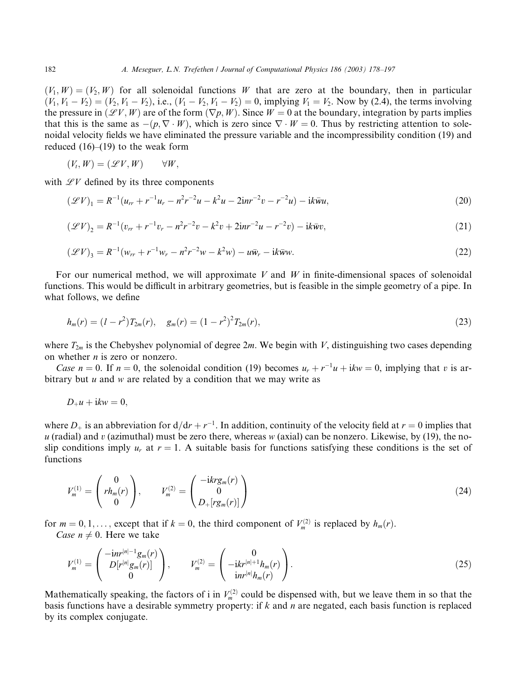$(V_1, W) = (V_2, W)$  for all solenoidal functions W that are zero at the boundary, then in particular  $(V_1, V_1 - V_2) = (V_2, V_1 - V_2)$ , i.e.,  $(V_1 - V_2, V_1 - V_2) = 0$ , implying  $V_1 = V_2$ . Now by (2.4), the terms involving the pressure in  $(\mathcal{L}V, W)$  are of the form  $(\nabla p, W)$ . Since  $W = 0$  at the boundary, integration by parts implies that this is the same as  $-(p, \nabla \cdot W)$ , which is zero since  $\nabla \cdot W = 0$ . Thus by restricting attention to solenoidal velocity fields we have eliminated the pressure variable and the incompressibility condition (19) and reduced  $(16)$ – $(19)$  to the weak form

$$
(V_t, W) = (\mathscr{L}V, W) \qquad \forall W,
$$

with  $\mathscr{L}V$  defined by its three components

$$
(\mathcal{L}V)_1 = R^{-1}(u_{rr} + r^{-1}u_r - n^2r^{-2}u - k^2u - 2\mathrm{in}r^{-2}v - r^{-2}u) - ik\bar{w}u,\tag{20}
$$

$$
(\mathcal{L}V)_2 = R^{-1}(v_{rr} + r^{-1}v_r - n^2r^{-2}v - k^2v + 2inr^{-2}u - r^{-2}v) - ik\bar{w}v,
$$
\n(21)

$$
(\mathscr{L}V)_3 = R^{-1}(w_{rr} + r^{-1}w_r - n^2r^{-2}w - k^2w) - u\bar{w}_r - ik\bar{w}w.
$$
\n(22)

For our numerical method, we will approximate  $V$  and  $W$  in finite-dimensional spaces of solenoidal functions. This would be difficult in arbitrary geometries, but is feasible in the simple geometry of a pipe. In what follows, we define

$$
h_m(r) = (l - r^2)T_{2m}(r), \quad g_m(r) = (1 - r^2)^2 T_{2m}(r), \tag{23}
$$

where  $T_{2m}$  is the Chebyshev polynomial of degree  $2m$ . We begin with V, distinguishing two cases depending on whether  $n$  is zero or nonzero.

Case  $n = 0$ . If  $n = 0$ , the solenoidal condition (19) becomes  $u_r + r^{-1}u + ikw = 0$ , implying that v is arbitrary but  $u$  and  $w$  are related by a condition that we may write as

$$
D_+u+\mathrm{i}kw=0,
$$

where  $D_+$  is an abbreviation for  $d/dr + r^{-1}$ . In addition, continuity of the velocity field at  $r = 0$  implies that u (radial) and v (azimuthal) must be zero there, whereas w (axial) can be nonzero. Likewise, by (19), the noslip conditions imply u<sub>r</sub> at  $r = 1$ . A suitable basis for functions satisfying these conditions is the set of functions

$$
V_m^{(1)} = \begin{pmatrix} 0 \\ rh_m(r) \\ 0 \end{pmatrix}, \qquad V_m^{(2)} = \begin{pmatrix} -ikrg_m(r) \\ 0 \\ D_+[rg_m(r)] \end{pmatrix}
$$
 (24)

for  $m = 0, 1, \ldots$ , except that if  $k = 0$ , the third component of  $V^{(2)}_{\ldots}$  is replaced by  $h_m(r)$ . Case  $n \neq 0$ . Here we take

$$
V_m^{(1)} = \begin{pmatrix} -inr^{|n|-1}g_m(r) \\ D[r^{|n|}g_m(r)] \\ 0 \end{pmatrix}, \qquad V_m^{(2)} = \begin{pmatrix} 0 \\ -ikr^{|n|+1}h_m(r) \\ inr^{|n|}h_m(r) \end{pmatrix}.
$$
 (25)

Mathematically speaking, the factors of i in  $V_m^{(2)}$  could be dispensed with, but we leave them in so that the basis functions have a desirable symmetry property: if  $k$  and  $n$  are negated, each basis function is replaced by its complex conjugate.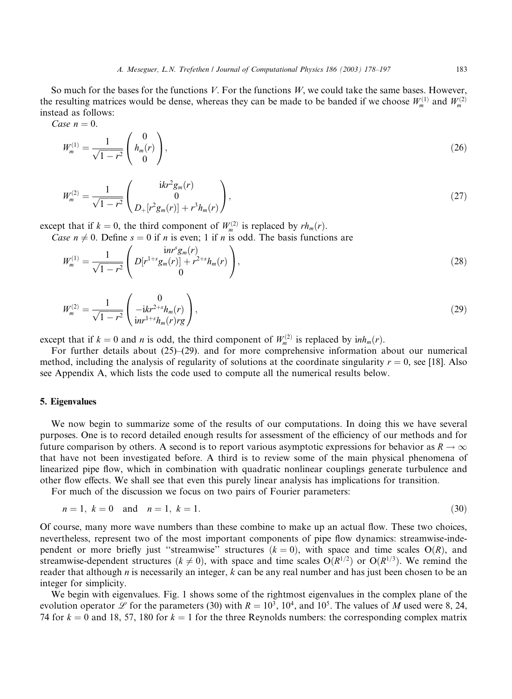So much for the bases for the functions V. For the functions  $W$ , we could take the same bases. However, the resulting matrices would be dense, whereas they can be made to be banded if we choose  $W_m^{(1)}$  and  $W_m^{(2)}$ instead as follows:

Case  $n = 0$ .

$$
W_m^{(1)} = \frac{1}{\sqrt{1 - r^2}} \begin{pmatrix} 0 \\ h_m(r) \\ 0 \end{pmatrix}, \tag{26}
$$

$$
W_m^{(2)} = \frac{1}{\sqrt{1 - r^2}} \begin{pmatrix} ikr^2 g_m(r) \\ 0 \\ D_+[r^2 g_m(r)] + r^3 h_m(r) \end{pmatrix},
$$
\n(27)

except that if  $k = 0$ , the third component of  $W_m^{(2)}$  is replaced by  $rh_m(r)$ .

Case  $n \neq 0$ . Define  $s = 0$  if *n* is even; 1 if *n* is odd. The basis functions are

$$
W_m^{(1)} = \frac{1}{\sqrt{1 - r^2}} \left( D[r^{1+s}g_m(r)] + r^{2+s}h_m(r) \right), \tag{28}
$$

$$
W_m^{(2)} = \frac{1}{\sqrt{1 - r^2}} \begin{pmatrix} 0 \\ -\mathrm{i}kr^{2+s}h_m(r) \\ \mathrm{i}nr^{1+s}h_m(r)rg \end{pmatrix},\tag{29}
$$

except that if  $k = 0$  and n is odd, the third component of  $W_m^{(2)}$  is replaced by  $inh_m(r)$ .

For further details about (25)–(29). and for more comprehensive information about our numerical method, including the analysis of regularity of solutions at the coordinate singularity  $r = 0$ , see [18]. Also see Appendix A, which lists the code used to compute all the numerical results below.

# 5. Eigenvalues

We now begin to summarize some of the results of our computations. In doing this we have several purposes. One is to record detailed enough results for assessment of the efficiency of our methods and for future comparison by others. A second is to report various asymptotic expressions for behavior as  $R \to \infty$ that have not been investigated before. A third is to review some of the main physical phenomena of linearized pipe flow, which in combination with quadratic nonlinear couplings generate turbulence and other flow effects. We shall see that even this purely linear analysis has implications for transition.

For much of the discussion we focus on two pairs of Fourier parameters:

$$
n = 1, k = 0 \quad \text{and} \quad n = 1, k = 1. \tag{30}
$$

Of course, many more wave numbers than these combine to make up an actual flow. These two choices, nevertheless, represent two of the most important components of pipe flow dynamics: streamwise-independent or more briefly just "streamwise" structures  $(k = 0)$ , with space and time scales O(R), and streamwise-dependent structures  $(k \neq 0)$ , with space and time scales  $O(R^{1/2})$  or  $O(R^{1/3})$ . We remind the reader that although *n* is necessarily an integer, k can be any real number and has just been chosen to be an integer for simplicity.

We begin with eigenvalues. Fig. 1 shows some of the rightmost eigenvalues in the complex plane of the evolution operator L for the parameters (30) with  $R = 10^3$ ,  $10^4$ , and  $10^5$ . The values of M used were 8, 24, 74 for  $k = 0$  and 18, 57, 180 for  $k = 1$  for the three Reynolds numbers: the corresponding complex matrix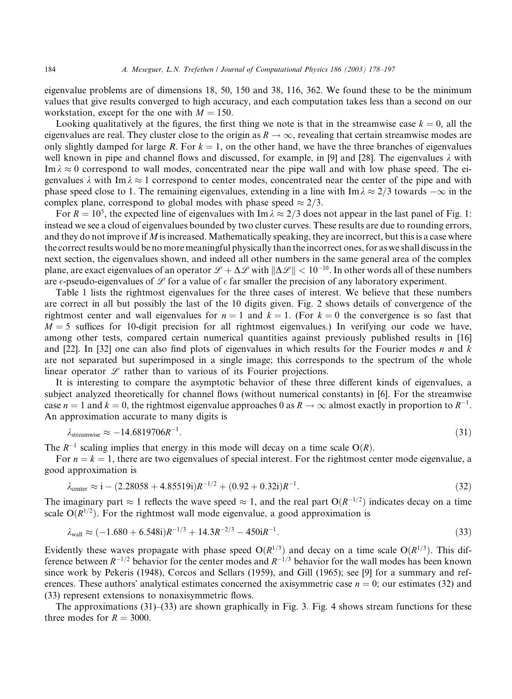eigenvalue problems are of dimensions 18, 50, 150 and 38, 116, 362. We found these to be the minimum values that give results converged to high accuracy, and each computation takes less than a second on our workstation, except for the one with  $M = 150$ .

Looking qualitatively at the figures, the first thing we note is that in the streamwise case  $k = 0$ , all the eigenvalues are real. They cluster close to the origin as  $R \to \infty$ , revealing that certain streamwise modes are only slightly damped for large R. For  $k = 1$ , on the other hand, we have the three branches of eigenvalues well known in pipe and channel flows and discussed, for example, in [9] and [28]. The eigenvalues  $\lambda$  with Im  $\lambda \approx 0$  correspond to wall modes, concentrated near the pipe wall and with low phase speed. The eigenvalues  $\lambda$  with Im  $\lambda \approx 1$  correspond to center modes, concentrated near the center of the pipe and with phase speed close to 1. The remaining eigenvalues, extending in a line with Im  $\lambda \approx 2/3$  towards  $-\infty$  in the complex plane, correspond to global modes with phase speed  $\approx 2/3$ .

For  $R = 10^5$ , the expected line of eigenvalues with Im  $\lambda \approx 2/3$  does not appear in the last panel of Fig. 1: instead we see a cloud of eigenvalues bounded by two cluster curves. These results are due to rounding errors, and they do not improve if  $M$  is increased. Mathematically speaking, they are incorrect, but this is a case where the correct results would be no more meaningful physically than the incorrect ones, for as we shall discuss in the next section, the eigenvalues shown, and indeed all other numbers in the same general area of the complex plane, are exact eigenvalues of an operator  $\mathcal{L} + \Delta \mathcal{L}$  with  $\|\Delta \mathcal{L}\| < 10^{-10}$ . In other words all of these numbers are  $\epsilon$ -pseudo-eigenvalues of  $\mathscr L$  for a value of  $\epsilon$  far smaller the precision of any laboratory experiment.

Table 1 lists the rightmost eigenvalues for the three cases of interest. We believe that these numbers are correct in all but possibly the last of the 10 digits given. Fig. 2 shows details of convergence of the rightmost center and wall eigenvalues for  $n = 1$  and  $k = 1$ . (For  $k = 0$  the convergence is so fast that  $M = 5$  suffices for 10-digit precision for all rightmost eigenvalues.) In verifying our code we have, among other tests, compared certain numerical quantities against previously published results in [16] and [22]. In [32] one can also find plots of eigenvalues in which results for the Fourier modes n and  $k$ are not separated but superimposed in a single image; this corresponds to the spectrum of the whole linear operator  $\mathscr L$  rather than to various of its Fourier projections.

It is interesting to compare the asymptotic behavior of these three different kinds of eigenvalues, a subject analyzed theoretically for channel flows (without numerical constants) in [6]. For the streamwise case  $n = 1$  and  $k = 0$ , the rightmost eigenvalue approaches 0 as  $R \to \infty$  almost exactly in proportion to  $R^{-1}$ . An approximation accurate to many digits is

$$
\lambda_{\text{streamwise}} \approx -14.6819706R^{-1}.\tag{31}
$$

The  $R^{-1}$  scaling implies that energy in this mode will decay on a time scale O(R).

For  $n = k = 1$ , there are two eigenvalues of special interest. For the rightmost center mode eigenvalue, a good approximation is

$$
\lambda_{\text{center}} \approx 1 - (2.28058 + 4.85519i)R^{-1/2} + (0.92 + 0.32i)R^{-1}.\tag{32}
$$

The imaginary part  $\approx 1$  reflects the wave speed  $\approx 1$ , and the real part  $O(R^{-1/2})$  indicates decay on a time scale  $O(R^{1/2})$ . For the rightmost wall mode eigenvalue, a good approximation is

$$
\lambda_{\text{wall}} \approx (-1.680 + 6.548i)R^{-1/3} + 14.3R^{-2/3} - 450iR^{-1}.\tag{33}
$$

Evidently these waves propagate with phase speed  $O(R^{1/3})$  and decay on a time scale  $O(R^{1/3})$ . This difference between  $R^{-1/2}$  behavior for the center modes and  $R^{-1/3}$  behavior for the wall modes has been known since work by Pekeris (1948), Corcos and Sellars (1959), and Gill (1965); see [9] for a summary and references. These authors' analytical estimates concerned the axisymmetric case  $n = 0$ ; our estimates (32) and (33) represent extensions to nonaxisymmetric flows.

The approximations (31)–(33) are shown graphically in Fig. 3. Fig. 4 shows stream functions for these three modes for  $R = 3000$ .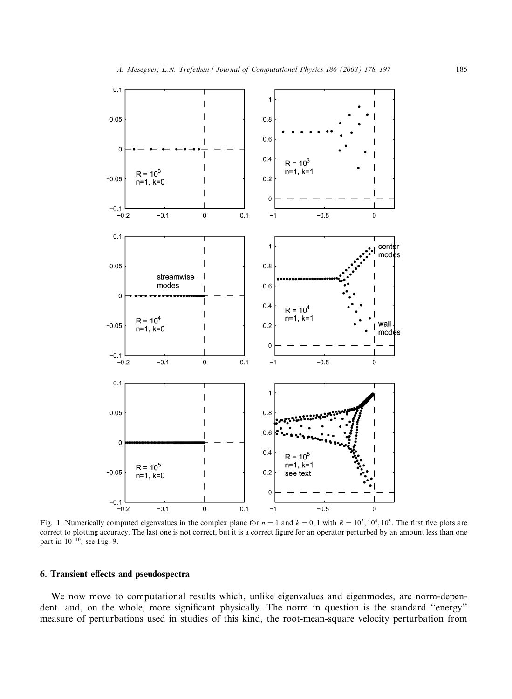

Fig. 1. Numerically computed eigenvalues in the complex plane for  $n = 1$  and  $k = 0, 1$  with  $R = 10^3, 10^4, 10^5$ . The first five plots are correct to plotting accuracy. The last one is not correct, but it is a correct figure for an operator perturbed by an amount less than one part in  $10^{-10}$ ; see Fig. 9.

# 6. Transient effects and pseudospectra

We now move to computational results which, unlike eigenvalues and eigenmodes, are norm-dependent—and, on the whole, more significant physically. The norm in question is the standard ''energy'' measure of perturbations used in studies of this kind, the root-mean-square velocity perturbation from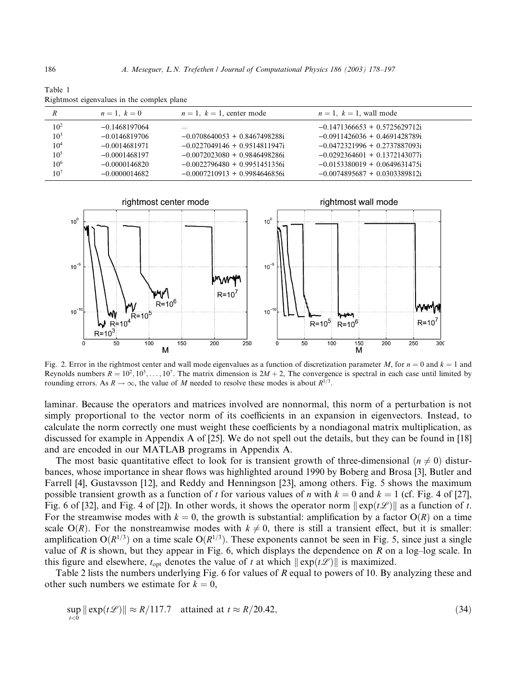| Table 1                                    |  |  |
|--------------------------------------------|--|--|
| Rightmost eigenvalues in the complex plane |  |  |

| R               | $n = 1, k = 0$  | $n = 1, k = 1$ , center mode     | $n = 1$ , $k = 1$ , wall mode    |
|-----------------|-----------------|----------------------------------|----------------------------------|
| $10^{2}$        | $-0.1468197064$ |                                  | $-0.1471366653 + 0.5725629712i$  |
| 10 <sup>3</sup> | $-0.0146819706$ | $-0.0708640053 + 0.8467498288i$  | $-0.0911426036 + 0.4691428789$ i |
| 10 <sup>4</sup> | $-0.0014681971$ | $-0.0227049146 + 0.9514811947$ i | $-0.0472321996 + 0.2737887093i$  |
| $10^{5}$        | $-0.0001468197$ | $-0.0072023080 + 0.9846498286$ i | $-0.0292364601 + 0.1372143077$ i |
| 10 <sup>6</sup> | $-0.0000146820$ | $-0.0022796480 + 0.9951451356$   | $-0.0153380019 + 0.0649631475$ i |
| 10 <sup>7</sup> | $-0.0000014682$ | $-0.0007210913 + 0.9984646856$   | $-0.0074895687 + 0.0303389812i$  |



Fig. 2. Error in the rightmost center and wall mode eigenvalues as a function of discretization parameter M, for  $n = 0$  and  $k = 1$  and Reynolds numbers  $R = 10^2, 10^3, \dots, 10^7$ . The matrix dimension is  $2M + 2$ , The convergence is spectral in each case until limited by rounding errors. As  $R \to \infty$ , the value of M needed to resolve these modes is about  $R^{1/3}$ .

laminar. Because the operators and matrices involved are nonnormal, this norm of a perturbation is not simply proportional to the vector norm of its coefficients in an expansion in eigenvectors. Instead, to calculate the norm correctly one must weight these coefficients by a nondiagonal matrix multiplication, as discussed for example in Appendix A of [25]. We do not spell out the details, but they can be found in [18] and are encoded in our MATLAB programs in Appendix A.

The most basic quantitative effect to look for is transient growth of three-dimensional  $(n \neq 0)$  disturbances, whose importance in shear flows was highlighted around 1990 by Boberg and Brosa [3], Butler and Farrell [4], Gustavsson [12], and Reddy and Henningson [23], among others. Fig. 5 shows the maximum possible transient growth as a function of t for various values of n with  $k = 0$  and  $k = 1$  (cf. Fig. 4 of [27], Fig. 6 of [32], and Fig. 4 of [2]). In other words, it shows the operator norm  $\|\exp(t\mathscr{L})\|$  as a function of t. For the streamwise modes with  $k = 0$ , the growth is substantial: amplification by a factor  $O(R)$  on a time scale O(R). For the nonstreamwise modes with  $k \neq 0$ , there is still a transient effect, but it is smaller: amplification  $O(R^{1/3})$  on a time scale  $O(R^{1/3})$ . These exponents cannot be seen in Fig. 5, since just a single value of R is shown, but they appear in Fig. 6, which displays the dependence on R on a log–log scale. In this figure and elsewhere,  $t_{opt}$  denotes the value of t at which  $\|\exp(t\mathscr{L})\|$  is maximized.

Table 2 lists the numbers underlying Fig. 6 for values of R equal to powers of 10. By analyzing these and other such numbers we estimate for  $k = 0$ ,

$$
\sup_{t<0} \|\exp(t\mathcal{L})\| \approx R/117.7 \quad \text{attained at } t \approx R/20.42,\tag{34}
$$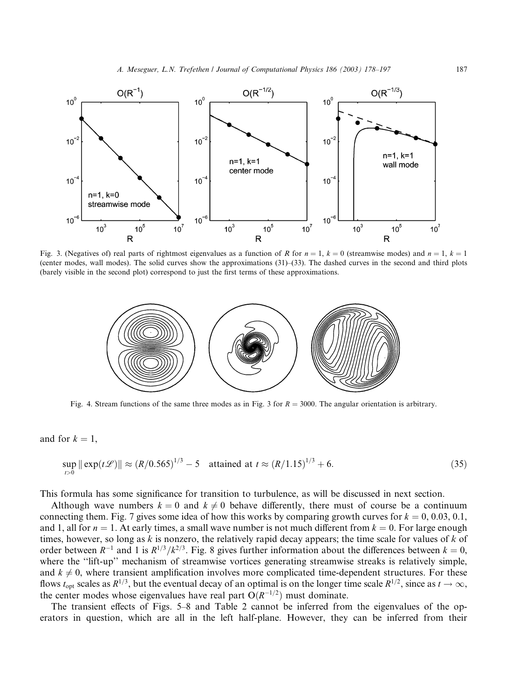

Fig. 3. (Negatives of) real parts of rightmost eigenvalues as a function of R for  $n = 1$ ,  $k = 0$  (streamwise modes) and  $n = 1$ ,  $k = 1$ (center modes, wall modes). The solid curves show the approximations (31)–(33). The dashed curves in the second and third plots (barely visible in the second plot) correspond to just the first terms of these approximations.



Fig. 4. Stream functions of the same three modes as in Fig. 3 for  $R = 3000$ . The angular orientation is arbitrary.

and for  $k = 1$ ,

$$
\sup_{t>0} \|\exp(t\mathcal{L})\| \approx (R/0.565)^{1/3} - 5 \quad \text{attained at } t \approx (R/1.15)^{1/3} + 6. \tag{35}
$$

This formula has some significance for transition to turbulence, as will be discussed in next section.

Although wave numbers  $k = 0$  and  $k \neq 0$  behave differently, there must of course be a continuum connecting them. Fig. 7 gives some idea of how this works by comparing growth curves for  $k = 0, 0.03, 0.1$ , and 1, all for  $n = 1$ . At early times, a small wave number is not much different from  $k = 0$ . For large enough times, however, so long as k is nonzero, the relatively rapid decay appears; the time scale for values of  $k$  of order between  $R^{-1}$  and 1 is  $R^{1/3}/k^{2/3}$ . Fig. 8 gives further information about the differences between  $k = 0$ , where the "lift-up" mechanism of streamwise vortices generating streamwise streaks is relatively simple, and  $k \neq 0$ , where transient amplification involves more complicated time-dependent structures. For these flows  $t_{\text{opt}}$  scales as  $R^{1/3}$ , but the eventual decay of an optimal is on the longer time scale  $R^{1/2}$ , since as  $t \to \infty$ , the center modes whose eigenvalues have real part  $O(R^{-1/2})$  must dominate.

The transient effects of Figs. 5–8 and Table 2 cannot be inferred from the eigenvalues of the operators in question, which are all in the left half-plane. However, they can be inferred from their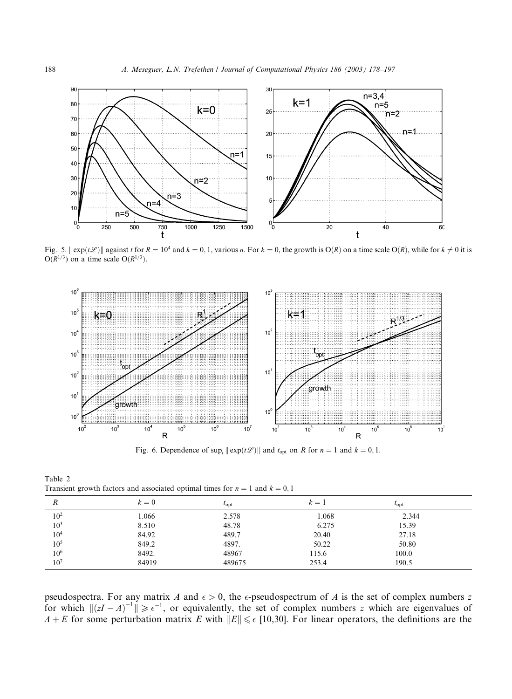

Fig. 5.  $\exp(t\mathscr{L})$  against t for  $R = 10^4$  and  $k = 0, 1$ , various n. For  $k = 0$ , the growth is  $O(R)$  on a time scale  $O(R)$ , while for  $k \neq 0$  it is  $O(R^{1/3})$  on a time scale  $O(R^{1/3})$ .



Fig. 6. Dependence of sup<sub>t</sub>  $\|\exp(t\mathcal{L})\|$  and  $t_{\text{opt}}$  on R for  $n = 1$  and  $k = 0, 1$ .

Table 2 Transient growth factors and associated optimal times for  $n = 1$  and  $k = 0, 1$ 

| R               | $k=0$ | $t_{opt}$ | $k=1$ | $\iota_{\text{opt}}$ |  |
|-----------------|-------|-----------|-------|----------------------|--|
| 10 <sup>2</sup> | 1.066 | 2.578     | 1.068 | 2.344                |  |
| 10 <sup>3</sup> | 8.510 | 48.78     | 6.275 | 15.39                |  |
| 10 <sup>4</sup> | 84.92 | 489.7     | 20.40 | 27.18                |  |
| $10^5$          | 849.2 | 4897.     | 50.22 | 50.80                |  |
| 10 <sup>6</sup> | 8492. | 48967     | 115.6 | 100.0                |  |
| 10 <sup>7</sup> | 84919 | 489675    | 253.4 | 190.5                |  |

pseudospectra. For any matrix A and  $\epsilon > 0$ , the  $\epsilon$ -pseudospectrum of A is the set of complex numbers z for which  $||(zI - A)^{-1}|| \ge \epsilon^{-1}$ , or equivalently, the set of complex numbers z which are eigenvalues of  $A + E$  for some perturbation matrix E with  $||E|| \le \epsilon$  [10,30]. For linear operators, the definitions are the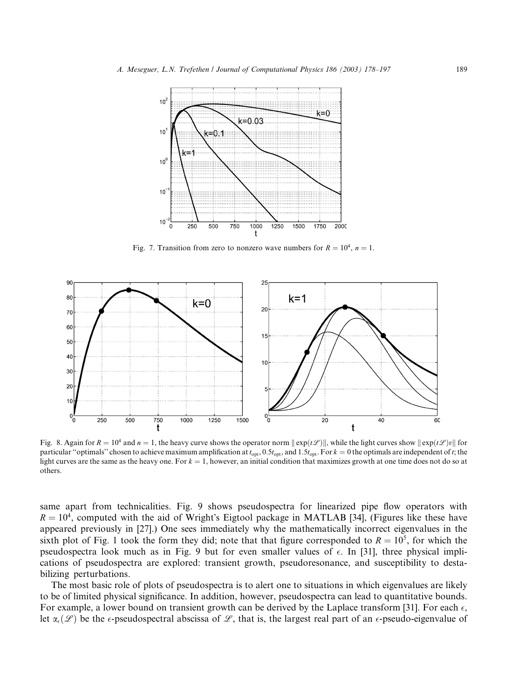

Fig. 7. Transition from zero to nonzero wave numbers for  $R = 10^4$ ,  $n = 1$ .



Fig. 8. Again for  $R = 10^4$  and  $n = 1$ , the heavy curve shows the operator norm  $\|\exp(\mathcal{L}\mathcal{D})\|$ , while the light curves show  $\|\exp(\mathcal{L}\mathcal{D})v\|$  for particular "optimals" chosen to achieve maximum amplification at  $t_{\rm opt}$ , 0.5 $t_{\rm opt}$ , and 1.5 $t_{\rm opt}$ . For  $k = 0$  the optimals are independent of t; the light curves are the same as the heavy one. For  $k = 1$ , however, an initial condition that maximizes growth at one time does not do so at others.

same apart from technicalities. Fig. 9 shows pseudospectra for linearized pipe flow operators with  $R = 10<sup>4</sup>$ , computed with the aid of Wright's Eigtool package in MATLAB [34], (Figures like these have appeared previously in [27].) One sees immediately why the mathematically incorrect eigenvalues in the sixth plot of Fig. 1 took the form they did; note that that figure corresponded to  $R = 10^5$ , for which the pseudospectra look much as in Fig. 9 but for even smaller values of  $\epsilon$ . In [31], three physical implications of pseudospectra are explored: transient growth, pseudoresonance, and susceptibility to destabilizing perturbations.

The most basic role of plots of pseudospectra is to alert one to situations in which eigenvalues are likely to be of limited physical significance. In addition, however, pseudospectra can lead to quantitative bounds. For example, a lower bound on transient growth can be derived by the Laplace transform [31]. For each  $\epsilon$ , let  $\alpha_{\epsilon}(\mathscr{L})$  be the  $\epsilon$ -pseudospectral abscissa of  $\mathscr{L}$ , that is, the largest real part of an  $\epsilon$ -pseudo-eigenvalue of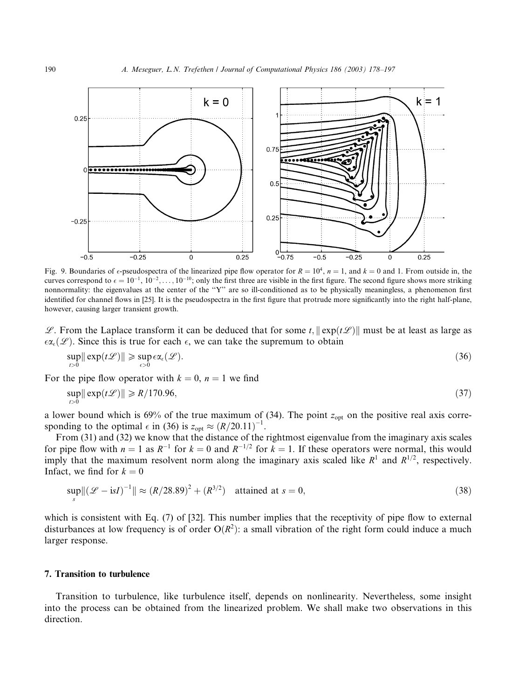

Fig. 9. Boundaries of  $\epsilon$ -pseudospectra of the linearized pipe flow operator for  $R = 10^4$ ,  $n = 1$ , and  $k = 0$  and 1. From outside in, the curves correspond to  $\epsilon = 10^{-1}$ ,  $10^{-2}$ ,...,  $10^{-10}$ ; only the first three are visible in the first figure. The second figure shows more striking nonnormality: the eigenvalues at the center of the ''Y'' are so ill-conditioned as to be physically meaningless, a phenomenon first identified for channel flows in [25]. It is the pseudospectra in the first figure that protrude more significantly into the right half-plane, however, causing larger transient growth.

 $\mathscr L$ . From the Laplace transform it can be deduced that for some t,  $\|\exp(t\mathscr L)\|$  must be at least as large as  $\epsilon \alpha_{\epsilon}(\mathscr{L})$ . Since this is true for each  $\epsilon$ , we can take the supremum to obtain

$$
\sup_{t>0} \|\exp(t\mathscr{L})\| \geq \sup_{\epsilon>0} \epsilon \alpha_{\epsilon}(\mathscr{L}).
$$
\n(36)

For the pipe flow operator with  $k = 0$ ,  $n = 1$  we find

$$
\sup_{t>0} \|\exp(t\mathcal{L})\| \ge R/170.96,\tag{37}
$$

a lower bound which is 69% of the true maximum of (34). The point  $z_{opt}$  on the positive real axis corresponding to the optimal  $\epsilon$  in (36) is  $z_{opt} \approx (R/20.11)^{-1}$ .

From (31) and (32) we know that the distance of the rightmost eigenvalue from the imaginary axis scales for pipe flow with  $n = 1$  as  $R^{-1}$  for  $k = 0$  and  $R^{-1/2}$  for  $k = 1$ . If these operators were normal, this would imply that the maximum resolvent norm along the imaginary axis scaled like  $R<sup>1</sup>$  and  $R<sup>1/2</sup>$ , respectively. Infact, we find for  $k = 0$ 

$$
\sup_{s} \|(L - \mathrm{i} s I)^{-1}\| \approx (R/28.89)^{2} + (R^{3/2}) \quad \text{attained at } s = 0,
$$
\n(38)

which is consistent with Eq. (7) of [32]. This number implies that the receptivity of pipe flow to external disturbances at low frequency is of order  $O(R^2)$ : a small vibration of the right form could induce a much larger response.

# 7. Transition to turbulence

Transition to turbulence, like turbulence itself, depends on nonlinearity. Nevertheless, some insight into the process can be obtained from the linearized problem. We shall make two observations in this direction.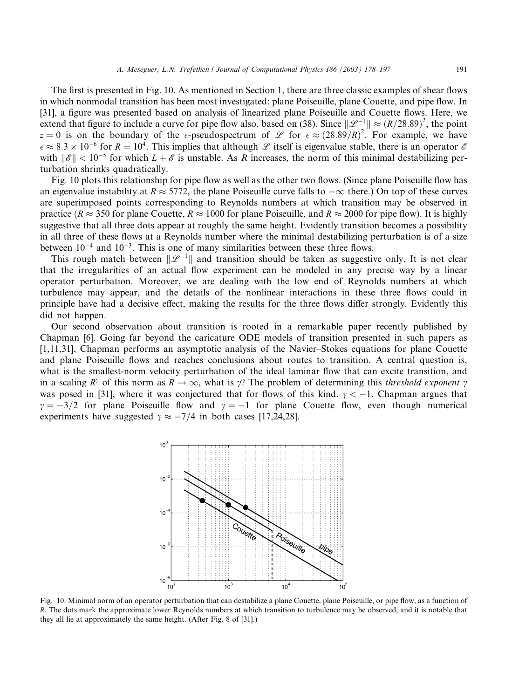The first is presented in Fig. 10. As mentioned in Section 1, there are three classic examples of shear flows in which nonmodal transition has been most investigated: plane Poiseuille, plane Couette, and pipe flow. In [31], a figure was presented based on analysis of linearized plane Poiseuille and Couette flows. Here, we extend that figure to include a curve for pipe flow also, based on (38). Since  $\|\mathscr{L}^{-1}\| \approx (R/28.89)^2$ , the point  $z = 0$  is on the boundary of the  $\epsilon$ -pseudospectrum of  $\mathscr L$  for  $\epsilon \approx (28.89/R)^2$ . For example, we have  $\epsilon \approx 8.3 \times 10^{-6}$  for  $R = 10^{4}$ . This implies that although  $\mathscr L$  itself is eigenvalue stable, there is an operator  $\mathscr E$ with  $\|\mathscr{E}\|$  < 10<sup>-5</sup> for which  $L + \mathscr{E}$  is unstable. As R increases, the norm of this minimal destabilizing perturbation shrinks quadratically.

Fig. 10 plots this relationship for pipe flow as well as the other two flows. (Since plane Poiseuille flow has an eigenvalue instability at  $R \approx 5772$ , the plane Poiseuille curve falls to  $-\infty$  there.) On top of these curves are superimposed points corresponding to Reynolds numbers at which transition may be observed in practice ( $R \approx 350$  for plane Couette,  $R \approx 1000$  for plane Poiseuille, and  $R \approx 2000$  for pipe flow). It is highly suggestive that all three dots appear at roughly the same height. Evidently transition becomes a possibility in all three of these flows at a Reynolds number where the minimal destabilizing perturbation is of a size between  $10^{-4}$  and  $10^{-3}$ . This is one of many similarities between these three flows.

This rough match between  $\|\mathcal{L}^{-1}\|$  and transition should be taken as suggestive only. It is not clear that the irregularities of an actual flow experiment can be modeled in any precise way by a linear operator perturbation. Moreover, we are dealing with the low end of Reynolds numbers at which turbulence may appear, and the details of the nonlinear interactions in these three flows could in principle have had a decisive effect, making the results for the three flows differ strongly. Evidently this did not happen.

Our second observation about transition is rooted in a remarkable paper recently published by Chapman [6]. Going far beyond the caricature ODE models of transition presented in such papers as [1,11,31], Chapman performs an asymptotic analysis of the Navier–Stokes equations for plane Couette and plane Poiseuille flows and reaches conclusions about routes to transition. A central question is, what is the smallest-norm velocity perturbation of the ideal laminar flow that can excite transition, and in a scaling R<sup> $\gamma$ </sup> of this norm as  $R \to \infty$ , what is  $\gamma$ ? The problem of determining this threshold exponent  $\gamma$ was posed in [31], where it was conjectured that for flows of this kind.  $\gamma < -1$ . Chapman argues that  $\gamma = -3/2$  for plane Poiseuille flow and  $\gamma = -1$  for plane Couette flow, even though numerical experiments have suggested  $\gamma \approx -7/4$  in both cases [17,24,28].



Fig. 10. Minimal norm of an operator perturbation that can destabilize a plane Couette, plane Poiseuille, or pipe flow, as a function of R. The dots mark the approximate lower Reynolds numbers at which transition to turbulence may be observed, and it is notable that they all lie at approximately the same height. (After Fig. 8 of [31].)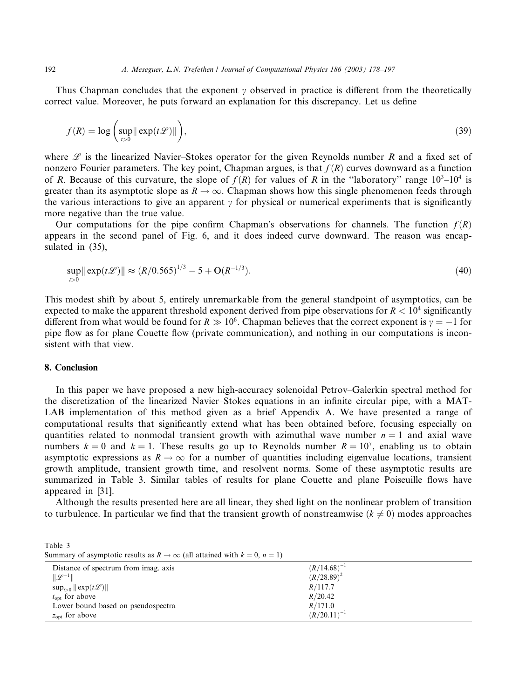Thus Chapman concludes that the exponent  $\gamma$  observed in practice is different from the theoretically correct value. Moreover, he puts forward an explanation for this discrepancy. Let us define

$$
f(R) = \log \left( \sup_{t>0} \|\exp(t\mathcal{L})\| \right),\tag{39}
$$

where  $\mathscr L$  is the linearized Navier–Stokes operator for the given Reynolds number R and a fixed set of nonzero Fourier parameters. The key point, Chapman argues, is that  $f(R)$  curves downward as a function of R. Because of this curvature, the slope of  $f(R)$  for values of R in the "laboratory" range  $10^3-10^4$  is greater than its asymptotic slope as  $R \to \infty$ . Chapman shows how this single phenomenon feeds through the various interactions to give an apparent  $\gamma$  for physical or numerical experiments that is significantly more negative than the true value.

Our computations for the pipe confirm Chapman's observations for channels. The function  $f(R)$ appears in the second panel of Fig. 6, and it does indeed curve downward. The reason was encapsulated in (35),

$$
\sup_{t>0} \|\exp(t\mathscr{L})\| \approx (R/0.565)^{1/3} - 5 + O(R^{-1/3}).\tag{40}
$$

This modest shift by about 5, entirely unremarkable from the general standpoint of asymptotics, can be expected to make the apparent threshold exponent derived from pipe observations for  $R < 10^4$  significantly different from what would be found for  $R \gg 10^6$ . Chapman believes that the correct exponent is  $\gamma = -1$  for pipe flow as for plane Couette flow (private communication), and nothing in our computations is inconsistent with that view.

# 8. Conclusion

In this paper we have proposed a new high-accuracy solenoidal Petrov–Galerkin spectral method for the discretization of the linearized Navier–Stokes equations in an infinite circular pipe, with a MAT-LAB implementation of this method given as a brief Appendix A. We have presented a range of computational results that significantly extend what has been obtained before, focusing especially on quantities related to nonmodal transient growth with azimuthal wave number  $n = 1$  and axial wave numbers  $k = 0$  and  $k = 1$ . These results go up to Reynolds number  $R = 10<sup>7</sup>$ , enabling us to obtain asymptotic expressions as  $R \to \infty$  for a number of quantities including eigenvalue locations, transient growth amplitude, transient growth time, and resolvent norms. Some of these asymptotic results are summarized in Table 3. Similar tables of results for plane Couette and plane Poiseuille flows have appeared in [31].

Although the results presented here are all linear, they shed light on the nonlinear problem of transition to turbulence. In particular we find that the transient growth of nonstreamwise  $(k \neq 0)$  modes approaches

Table 3 Summary of asymptotic results as  $R \to \infty$  (all attained with  $k = 0, n = 1$ )

| Distance of spectrum from imag. axis  | $(R/14.68)^{-1}$ |
|---------------------------------------|------------------|
| $\ \mathscr{L}^{-1}\ $                | $(R/28.89)^2$    |
| $\sup_{t>0}$ $\ \exp(t\mathcal{L})\ $ | R/117.7          |
| $t_{\text{opt}}$ for above            | R/20.42          |
| Lower bound based on pseudospectra    | R/171.0          |
| $z_{\text{opt}}$ for above            | $(R/20.11)^{-1}$ |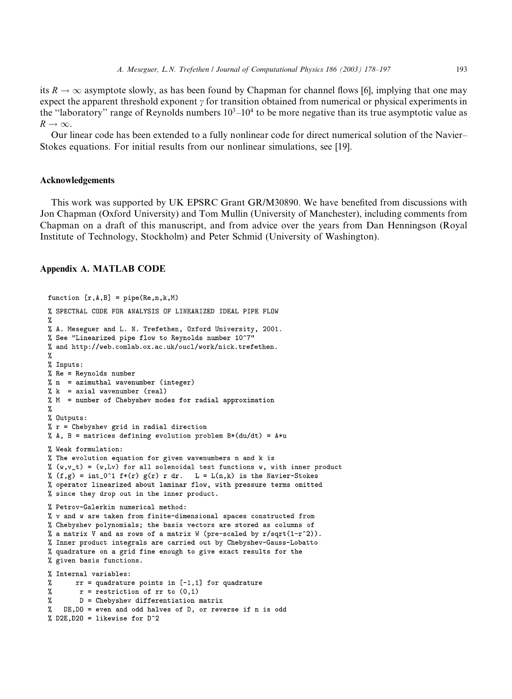its  $R \to \infty$  asymptote slowly, as has been found by Chapman for channel flows [6], implying that one may expect the apparent threshold exponent  $\gamma$  for transition obtained from numerical or physical experiments in the "laboratory" range of Reynolds numbers  $10^3$ – $10^4$  to be more negative than its true asymptotic value as  $R \rightarrow \infty$ .

Our linear code has been extended to a fully nonlinear code for direct numerical solution of the Navier– Stokes equations. For initial results from our nonlinear simulations, see [19].

## Acknowledgements

This work was supported by UK EPSRC Grant GR/M30890. We have benefited from discussions with Jon Chapman (Oxford University) and Tom Mullin (University of Manchester), including comments from Chapman on a draft of this manuscript, and from advice over the years from Dan Henningson (Royal Institute of Technology, Stockholm) and Peter Schmid (University of Washington).

### Appendix A. MATLAB CODE

```
function [r, A, B] = pipe(Re, n, k, M)% SPECTRAL CODE FOR ANALYSIS OF LINEARIZED IDEAL PIPE FLOW
\gamma% A. Meseguer and L. N. Trefethen, Oxford University, 2001.
% See "Linearized pipe flow to Reynolds number 10^7"
% and http://web.comlab.ox.ac.uk/oucl/work/nick.trefethen.
%
% Inputs:
% Re = Revnolds number% n = azimuthal wavenumber (integer)% k = axial wavenumber (real)% M = number of Chebyshev modes for radial approximation
<u>V</u>
% Outputs:
\chi r = Chebyshev grid in radial direction
% A, B = matrices defining evolution problem B*(du/dt) = A*u
% Weak formulation:
% The evolution equation for given wavenumbers n and k is
% (w,v_t) = (w,Lv) for all solenoidal test functions w, with inner product
% (f,g) = int_0^1 f*(r) g(r) r dr. L = L(n,k) is the Navier-Stokes
% operator linearized about laminar flow, with pressure terms omitted
% since they drop out in the inner product.
% Petrov-Galerkin numerical method:
% v and w are taken from finite-dimensional spaces constructed from
% Chebyshev polynomials; the basis vectors are stored as columns of
% a matrix V and as rows of a matrix W (pre-scaled by r/sqrt(1-r<sup>2</sup>2)).
% Inner product integrals are carried out by Chebyshev-Gauss-Lobatto
% quadrature on a grid fine enough to give exact results for the
% given basis functions.
% Internal variables:
       rr = quadrature points in [-1,1] for quadrature
%
%
        r = restriction of rr to (0,1)%
        D = Chebyshev differentiation matrix
% DE, DO = even and odd halves of D, or reverse if n is odd
% D2E, D20 = likewise for D^2
```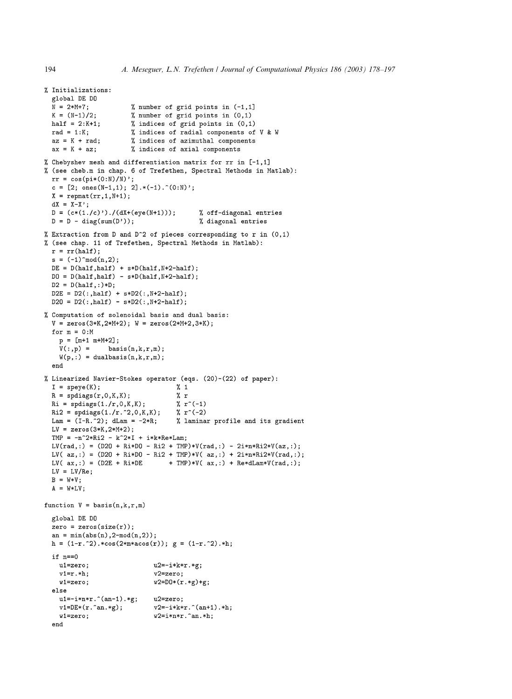```
% Initializations:
 global DE DO
 N = 2*M+7;% number of grid points in (-1,1]K = (N-1)/2;% number of grid points in (0,1)
 half = 2:K+1;% indices of grid points in (0,1)rad = 1:K;% indices of radial components of V & W
 az = K + rad;% indices of azimuthal components
 ax = K + az;% indices of axial components
% Chebyshev mesh and differentiation matrix for rr in [-1,1]
% (see cheb.m in chap. 6 of Trefethen, Spectral Methods in Matlab):
 rr = \cos(\pi * (0:N)/N);
 c = [2; ones(N-1,1); 2].*(-1).^(0:N)';X = \text{remat}(rr, 1, N+1);dX = X-X';
 D = (c*(1./c))'./(dX+(eye(N+1)));% off-diagonal entries
 D = D - diag(sum(D'));% diagonal entries
% Extraction from D and D<sup>-2</sup> of pieces corresponding to r in (0,1)% (see chap. 11 of Trefethen, Spectral Methods in Matlab):
 r = rr(half):
 s = (-1)^{n} mod(n, 2);DE = D(half, half) + s*D(half, N+2-half);D0 = D(half, half) - s*D(half, N+2-half);D2 = D(half, :)*D;D2E = D2(:,half) + s*D2(:,N+2-half);D20 = D2(:,half) - s*D2(:,N+2-half);% Computation of solenoidal basis and dual basis:
 V = zeros(3*K, 2*M+2); W = zeros(2*M+2, 3*K);for m = 0:Mp = [m+1 m+M+2];V(:, p) =basis(n, k, r, m);W(p,:) = dual basis(n,k,r,m);end
% Linearized Navier-Stokes operator (eqs. (20)-(22) of paper):
  I = \text{spec}(K);\frac{9}{6} 1
 R = spdiags(r, 0, K, K);
                                     \% r
 Ri = spdiags(1./r, 0, K, K);
                                     \chir<sup>-</sup>(-1)
 Ri2 = spdiags(1./r. 2,0,K,K);
                                     \chir<sup>-</sup>(-2)
 Lam = (I-R.^2); dLam = -2*R;
                                     % laminar profile and its gradient
 LV = zeros(3*K, 2*M+2);TMP = -n^2*Ri2 - k^2*I + i*k*Re*Lam;LV(rad,:) = (D20 + Ri*D0 - Ri2 + TMP)*V(rad,:) - 2i*n*ki2*V(az,:);LV(az, :) = (D20 + Ri * D0 - Ri2 + TMP) * V(az); + 2i * n * Ri2 * V(rad,:);
 LV(ax,:) = (D2E + Ri*DE+ TMP)*V(ax,:) + Re*dLam*V(rad,:);
 LV = LV/Re;B = W*V;A = W * LV;function V = basis(n, k, r, m)global DE DO
 zero = zeros(size(r));an = min(abs(n), 2-mod(n, 2));h = (1-r.^2).*cos(2*m*acos(r)); g = (1-r.^2).*h;if n == 0u1=zero;
                              u2 = -i*k*r.*g;v1=r.*h;v2 = zero;w1 = zero;w2 = D0 * (r * g) + g;else
    u1=-i*n*r.^(an-1).*g;u2 = zero:
                              v2 = -i*k*r.^(an+1).*h;v1 = DE*(r.\hat{a}n.*g);w1 = zero;w2=i*n*r.an.*h:
  _{\rm end}
```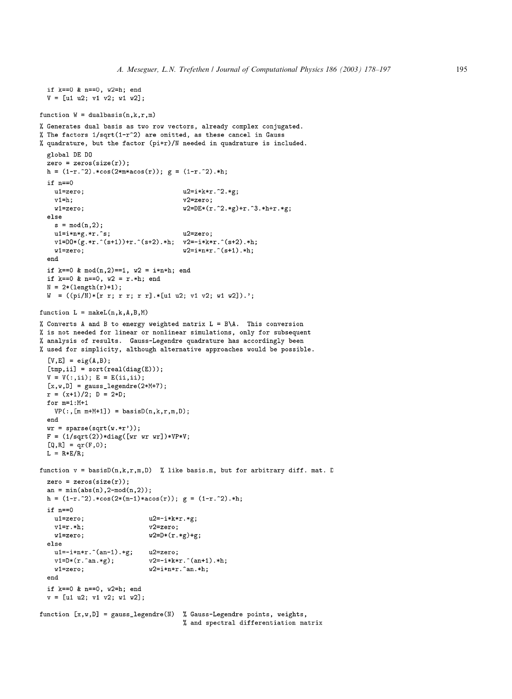```
if k == 0 & n == 0, w 2 = h; end
 V = [u1 u2; v1 v2; w1 w2];function W = dualbasis(n, k, r, m)% Generates dual basis as two row vectors, already complex conjugated.
% The factors 1/sqrt(1-r<sup>-</sup>2) are omitted, as these cancel in Gauss
% quadrature, but the factor (pi*r)/N needed in quadrature is included.
  global DE DO
 zero = zeros(size(r));h = (1-r.^2).*cos(2*m*acos(r)); g = (1-r.^2).*h;if n == 0u1 = zero:
                                        u2 = i * k * r. 2.*g;
   v1=h;v2 = zero;w2 = DE*(r.^2.*g) + r.^3.*h+r.*g;w1 = zero:
  else
    s = mod(n, 2);u1=i*n*g.*r.^s;u2 = zero:v1=D0*(g.*r.(s+1))+r.(s+2).*h; v2=-i*k*r.(s+2).*h;w2=i*n*r.^(s+1).*h;w1 = zero;end
  if k==0 & mod(n,2) == 1, w2 = i*n*h; end
 if k == 0 & n = = 0, w 2 = r.*h; end
 N = 2*(\text{length}(r)+1);W = ((pi/N)*(r r; r r; r r].*[u1 u2; v1 v2; w1 w2]).function L = makeL(n, k, A, B, M)% Converts A and B to energy weighted matrix L = B\A. This conversion
% is not needed for linear or nonlinear simulations, only for subsequent
% analysis of results. Gauss-Legendre quadrature has accordingly been
% used for simplicity, although alternative approaches would be possible.
  [V,E] = eig(A,B);[tmp, ii] = sort(real(diag(E)));
 V = V(:, ii); E = E(ii, ii);[x, w, D] = gauss\_legendre(2*M+7);r = (x+1)/2; D = 2*D;
 for m=1:M+1VP(:, [m m+M+1]) = basisD(n, k, r, m, D);end
 wr = sparse(sqrt(w.*r'));F = (1/sqrt(2)) * diag([wr wr wr]) * VP * V;[Q, R] = qr(F, 0);L = R*E/R;function v = basisD(n, k, r, m, D) % like basis.m, but for arbitrary diff. mat. D
 zero = zeros(size(r));an = min(abs(n), 2-mod(n, 2));
 h = (1-r.^2).*cos(2*(m-1)*acos(r)); g = (1-r.^2).*h;if n == 0u1=zero;
                              u2 = -i*k*r . *g;v1 = r. * h;v2 = zero;w1 = zero;w2=D*(r.*g)+g;else
    u1 = -i * n * r.^(an-1). * g;u2=zero;
                              v2 = -i*k*r.^(an+1).*h;v1 = D * (r . \text{ an} . *g);w1 = zero:
                              w2=i*n*r. an.*h;
  end
 if k == 0 & n = = 0, w 2 = h; end
 v = [u1 u2; v1 v2; w1 w2];function [x, w, D] = gauss_legendre(N) % Gauss-Legendre points, weights,
                                        % and spectral differentiation matrix
```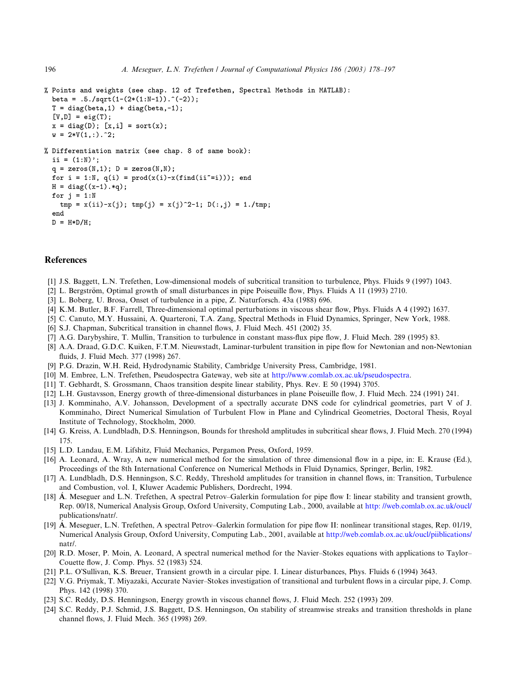```
% Points and weights (see chap. 12 of Trefethen, Spectral Methods in MATLAB):
  beta = .5./sqrt(1-(2*(1:N-1))'.(-2));T = diag(beta, 1) + diag(beta, -1);[V,D] = eig(T);x = diag(D); [x, i] = sort(x);w = 2*V(1,:). 2;
% Differentiation matrix (see chap. 8 of same book):
  ii = (1:N);
  q = zeros(N,1); D = zeros(N,N);for i = 1:\mathbb{N}, q(i) = \text{prod}(x(i)-x(\text{find}(ii^=i))); end
 H = diag((x-1).*q);for j = 1:Ntmp = x(ii) - x(j); tmp(j) = x(j)^2 - 1; D(:,j) = 1./tmp;end
 D = H*D/H;
```
### References

- [1] J.S. Baggett, L.N. Trefethen, Low-dimensional models of subcritical transition to turbulence, Phys. Fluids 9 (1997) 1043.
- [2] L. Bergström, Optimal growth of small disturbances in pipe Poiseuille flow, Phys. Fluids A 11 (1993) 2710.
- [3] L. Boberg, U. Brosa, Onset of turbulence in a pipe, Z. Naturforsch. 43a (1988) 696.
- [4] K.M. Butler, B.F. Farrell, Three-dimensional optimal perturbations in viscous shear flow, Phys. Fluids A 4 (1992) 1637.
- [5] C. Canuto, M.Y. Hussaini, A. Quarteroni, T.A. Zang, Spectral Methods in Fluid Dynamics, Springer, New York, 1988.
- [6] S.J. Chapman, Subcritical transition in channel flows, J. Fluid Mech. 451 (2002) 35.
- [7] A.G. Darybyshire, T. Mullin, Transition to turbulence in constant mass-flux pipe flow, J. Fluid Mech. 289 (1995) 83.
- [8] A.A. Draad, G.D.C. Kuiken, F.T.M. Nieuwstadt, Laminar-turbulent transition in pipe flow for Newtonian and non-Newtonian fluids, J. Fluid Mech. 377 (1998) 267.
- [9] P.G. Drazin, W.H. Reid, Hydrodynamic Stability, Cambridge University Press, Cambridge, 1981.
- [10] M. Embree, L.N. Trefethen, Pseudospectra Gateway, web site at <http://www.comlab.ox.ac.uk/pseudospectra>.
- [11] T. Gebhardt, S. Grossmann, Chaos transition despite linear stability, Phys. Rev. E 50 (1994) 3705.
- [12] L.H. Gustavsson, Energy growth of three-dimensional disturbances in plane Poiseuille flow, J. Fluid Mech. 224 (1991) 241.
- [13] J. Komminaho, A.V. Johansson, Development of a spectrally accurate DNS code for cylindrical geometries, part V of J. Komminaho, Direct Numerical Simulation of Turbulent Flow in Plane and Cylindrical Geometries, Doctoral Thesis, Royal Institute of Technology, Stockholm, 2000.
- [14] G. Kreiss, A. Lundbladh, D.S. Henningson, Bounds for threshold amplitudes in subcritical shear flows, J. Fluid Mech. 270 (1994) 175.
- [15] L.D. Landau, E.M. Lifshitz, Fluid Mechanics, Pergamon Press, Oxford, 1959.
- [16] A. Leonard, A. Wray, A new numerical method for the simulation of three dimensional flow in a pipe, in: E. Krause (Ed.), Proceedings of the 8th International Conference on Numerical Methods in Fluid Dynamics, Springer, Berlin, 1982.
- [17] A. Lundbladh, D.S. Henningson, S.C. Reddy, Threshold amplitudes for transition in channel flows, in: Transition, Turbulence and Combustion, vol. I, Kluwer Academic Publishers, Dordrecht, 1994.
- [18] A. Meseguer and L.N. Trefethen, A spectral Petrov–Galerkin formulation for pipe flow I: linear stability and transient growth, Rep. 00/18, Numerical Analysis Group, Oxford University, Computing Lab., 2000, available at [http: //web.comlab.ox.ac.uk/oucl/](http://http://web.comlab.ox.ac.uk/oucl/publications/natr/) [publications/natr/](http://http://web.comlab.ox.ac.uk/oucl/publications/natr/).
- [19] A. Meseguer, L.N. Trefethen, A spectral Petrov–Galerkin formulation for pipe flow II: nonlinear transitional stages, Rep. 01/19, Numerical Analysis Group, Oxford University, Computing Lab., 2001, available at [http://web.comlab.ox.ac.uk/oucl/piiblications/](http://web.comlab.ox.ac.uk/oucl/piiblications/natr/) [natr/](http://web.comlab.ox.ac.uk/oucl/piiblications/natr/).
- [20] R.D. Moser, P. Moin, A. Leonard, A spectral numerical method for the Navier–Stokes equations with applications to Taylor– Couette flow, J. Comp. Phys. 52 (1983) 524.
- [21] P.L. O'Sullivan, K.S. Breuer, Transient growth in a circular pipe. I. Linear disturbances, Phys. Fluids 6 (1994) 3643.
- [22] V.G. Priymak, T. Miyazaki, Accurate Navier–Stokes investigation of transitional and turbulent flows in a circular pipe, J. Comp. Phys. 142 (1998) 370.
- [23] S.C. Reddy, D.S. Henningson, Energy growth in viscous channel flows, J. Fluid Mech. 252 (1993) 209.
- [24] S.C. Reddy, P.J. Schmid, J.S. Baggett, D.S. Henningson, On stability of streamwise streaks and transition thresholds in plane channel flows, J. Fluid Mech. 365 (1998) 269.